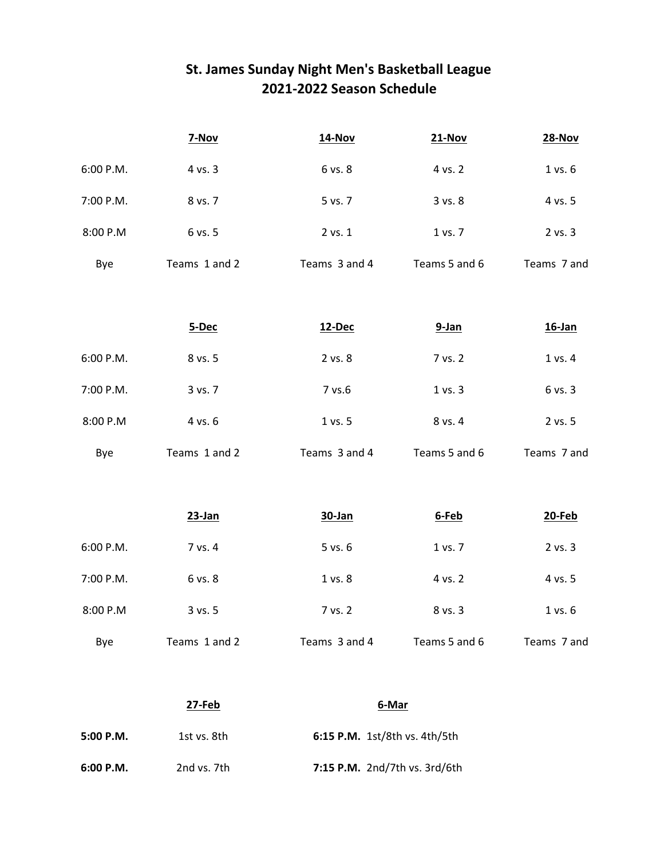## **St. James Sunday Night Men's Basketball League 2021-2022 Season Schedule**

|           | 7-Nov         | <b>14-Nov</b>                 | <b>21-Nov</b> | <b>28-Nov</b> |
|-----------|---------------|-------------------------------|---------------|---------------|
| 6:00 P.M. | 4 vs. 3       | 6 vs. 8                       | 4 vs. 2       | 1 vs. 6       |
| 7:00 P.M. | 8 vs. 7       | 5 vs. 7                       | 3 vs. 8       | 4 vs. 5       |
| 8:00 P.M  | 6 vs. 5       | 2 vs. 1                       | 1 vs. 7       | 2 vs. 3       |
| Bye       | Teams 1 and 2 | Teams 3 and 4                 | Teams 5 and 6 | Teams 7 and   |
|           |               |                               |               |               |
|           | 5-Dec         | 12-Dec                        | $9-Ian$       | $16$ -Jan     |
| 6:00 P.M. | 8 vs. 5       | 2 vs. 8                       | 7 vs. 2       | 1 vs. 4       |
| 7:00 P.M. | 3 vs. 7       | 7 vs.6                        | 1 vs. 3       | 6 vs. 3       |
| 8:00 P.M  | 4 vs. 6       | 1 vs. 5                       | 8 vs. 4       | 2 vs. 5       |
| Bye       | Teams 1 and 2 | Teams 3 and 4                 | Teams 5 and 6 | Teams 7 and   |
|           |               |                               |               |               |
|           | 23-Jan        | 30-Jan                        | 6-Feb         | 20-Feb        |
| 6:00 P.M. | 7 vs. 4       | 5 vs. 6                       | 1 vs. 7       | 2 vs. 3       |
| 7:00 P.M. | 6 vs. 8       | 1 vs. 8                       | 4 vs. 2       | 4 vs. 5       |
| 8:00 P.M  | 3 vs. 5       | 7 vs. 2                       | 8 vs. 3       | 1 vs. 6       |
| Bye       | Teams 1 and 2 | Teams 3 and 4                 | Teams 5 and 6 | Teams 7 and   |
|           |               |                               |               |               |
|           | 27-Feb        | 6-Mar                         |               |               |
| 5:00 P.M. | 1st vs. 8th   | 6:15 P.M. 1st/8th vs. 4th/5th |               |               |
| 6:00 P.M. | 2nd vs. 7th   | 7:15 P.M. 2nd/7th vs. 3rd/6th |               |               |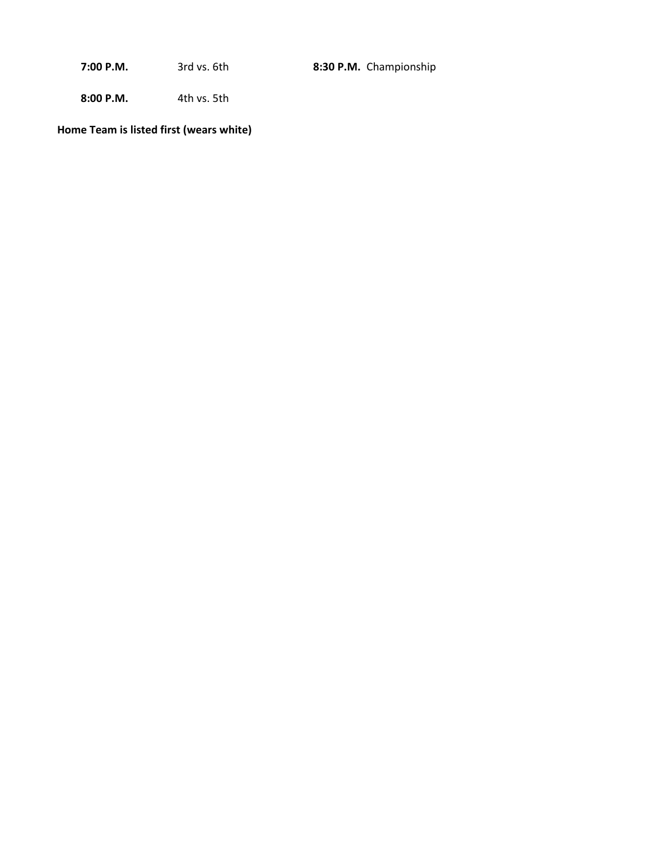**7:00 P.M.** 3rd vs. 6th **8:30 P.M.** Championship

**8:00 P.M.** 4th vs. 5th

**Home Team is listed first (wears white)**